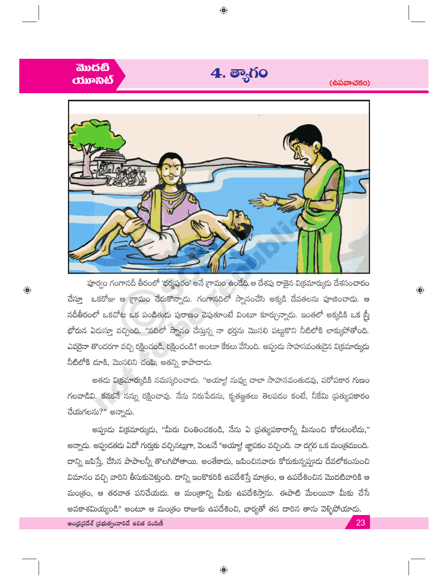

 $\bigoplus$ 

බාරහී

 $\bigoplus$ 

పూర్వం గంగానదీ తీరంలో 'ధర్మపురం' అనే గ్రామం ఉండేది.ఆ దేశపు రాజైన విక్రమార్కుడు దేశసంచారం చేస్తూ ఒకరోజు ఆ గ్రామం చేరుకొన్నాదు. గంగానదిలో స్నానంచేసి అక్కడి దేవతలను పూజించాదు. ఆ నదీతీరంలో ఒకచోట ఒక పండితుడు పురాణం చెపుతూంటే వింటూ కూర్చున్నాడు. ఇంతలో అక్కడికి ఒక స్ర్తీ భోరున ఏదుస్తూ వచ్చింది. ''నదిలో స్నానం చేస్తున్న నా భర్తను మొసలి పట్టుకొని నీటిలోకి లాక్ముపోతోంది. ఎవరైనా తొందరగా వచ్చి రక్షించండి, రక్షించండి! అంటూ కేకలు వేసింది. అప్పుడు సాహసవంతుడైన విక్రమార్కుడు నీటిలోకి దూకి, మొసలిని చంపి, అతన్ని కాపాదాడు.

 $\bigoplus$ 

అతదు విక్రమార్కుడికి నమస్కరించాడు. "అయ్యా! నువ్వ చాలా సాహసవంతుడవు, పరోపకార గుణం గలవాడివి. కనకనే నన్ను రక్షించావు. నేను నిరుపేదను, కృతజ్ఞతలు తెలపడం కంటే, నీకేమి (పత్యపకారం చేయగలను?" అన్నాడు.

అప్పుడు వి(కమార్కుడు, "మీరు చింతించకండి, నేను ఏ (పత్యుపకారాన్నీ మీనుంచి కోరటంలేదు," అన్నాడు. అప్పుడతడు ఏదో గుర్తుకు వచ్చినట్లుగా, వెంటనే "అయ్యా! జ్ఞాపకం వచ్చింది. నా దగ్గర ఒక మంత్రముంది. దాన్ని జపిస్తే, చేసిన పాపాలన్నీ తొలగిపోతాయి. అంతేకాదు, జపించినవారు కోరుకున్నప్పుడు దేవలోకంనుంచి విమానం వచ్చి వారిని తీసుకువెళ్తుంది. దాన్ని ఇంకొకరికి ఉపదేశిస్తే మాత్రం, ఆ ఉపదేశించిన మొదటివారికి ఆ మంత్రం, ఆ తరవాత పనిచేయదు. ఆ మంత్రాన్ని మీకు ఉపదేశిస్తాను. ఈపాటి మేలయినా మీకు చేసే అవకాశమియ్యండి" అంటూ ఆ మంత్రం రాజుకు ఉపదేశించి, భార్యతో తన దారిన తాను వెళ్ళిపోయాడు. ఆంధ్రప్రదేశ్ (పభుత్వంవారిచే ఉచిత పంపిణీ 23

 $\bigoplus$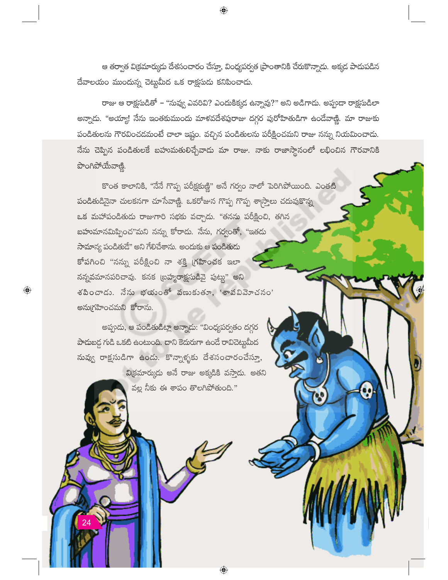ఆ తర్వాత విక్రమార్కుడు దేశసంచారం చేస్తూ, వింధ్యపర్వత [పాంతానికి చేరుకొన్నాడు. అక్కడ పాడుపడిన దేవాలయం ముందున్న చెట్లుమీద ఒక రాక్షసుడు కనిపించాడు.

 $\bigoplus$ 

రాజు ఆ రాక్షసుడితో – "నువ్వు ఎవరివి? ఎందుకిక్కడ ఉన్నావు?" అని అడిగాదు. అప్పుడా రాక్షసుడిలా అన్నాదు. "అయ్యా! నేను ఇంతకుముందు మాళవదేశపురాజు దగ్గర పురోహితుడిగా ఉండేవాణ్ణి. మా రాజుకు పండితులను గౌరవించడమంటే చాలా ఇష్టం. వచ్చిన పండితులను పరీక్షించమని రాజు నన్ను నియమించాడు. నేను చెప్పిన పండితులకే బహుమతులిచ్చేవాడు మా రాజు. నాకు రాజాస్థానంలో లభించిన గౌరవానికి పొంగిపోయేవాణి.

కొంత కాలానికి, ''నేనే గొప్ప పరీక్షకుణ్ణి" అనే గర్వం నాలో పెరిగిపోయింది. ఎంతటి పండితుడినైనా చులకనగా చూసేవాణ్ణి. ఒకరోజున గొప్ప గొప్ప శాస్ర్తాలు చదువుకొన్న ఒక మహాపండితుడు రాజుగారి సభకు వచ్చాడు. "తనను పరీక్షించి, తగిన బహుమానమిప్పించ"మని నన్ను కోరాదు. నేను, గర్వంతో, "ఇతదు సామాన్య పండితుడే" అని గేలిచేశాను. అందుకు ఆ పండితుడు కోపగించి "నన్ను పరీక్షించి నా శక్తి గ్రహించక ఇలా నన్నవమానపరిచావు. కనక (బహ్మరాక్షసుడివై పుట్టు" అని  $\delta$ సించాడు. నేను భయంతో వణుకుతూ, 'శాపవివెూచనం' అనుగ్రహించమని కోరాను.

అప్పుడు, ఆ పండితుడిట్లా అన్నాడు: "వింధ్యపర్వతం దగ్గర పాదుబడ్డ గుడి ఒకటి ఉంటుంది. దాని కెదురుగా ఉండే రావిచెట్టుమీద నువ్వు రాక్షసుడిగా ఉండు. కొన్నాళ్ళకు దేశసంచారంచేస్తూ, వి(కమార్కుడు అనే రాజు అక్కడికి వస్తాదు. అతని వల్ల నీకు ఈ శాపం తొలగిపోతుంది."

 $\bigoplus$ 

 $\bigoplus$ 

Ő,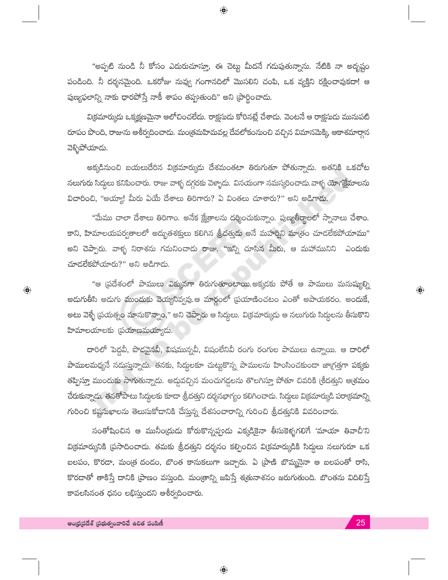"అప్పటి నుండి నీ కోసం ఎదురుచూస్తూ, ఈ చెట్టు మీదనే గడుపుతున్నాను. నేటికి నా అదృష్టం పండింది. నీ దర్శనమైంది. ఒకరోజు నువ్వు గంగానదిలో మొసలిని చంపి, ఒక వ్యక్తిని రక్షించావుకదా! ఆ పుణ్యఫలాన్ని నాకు ధారపోస్తే నాకీ శాపం తప్పుతుంది" అని [పార్థించాడు.

 $\bigoplus$ 

వి(కమార్కుడు ఒక్కక్షణమైనా ఆలోచించలేదు. రాక్షసుడు కోరినట్లే చేశాడు. వెంటనే ఆ రాక్షసుడు మునుపటి రూపం పొంది, రాజును ఆశీర్వదించాదు. మంత్రమహిమవల్ల దేవలోకంనుంచి వచ్చిన విమానమెక్కి ఆకాశమార్గాన వెళ్ళిపోయాడు.

అక్కడినుంచి బయలుదేరిన విక్రమార్కుడు దేశమంతటా తిరుగుతూ పోతున్నాడు. అతనికి ఒకచోట నలుగురు సిద్ధులు కనిపించారు. రాజు వాళ్ళ దగ్గరకు వెళ్ళాదు. వినయంగా నమస్కరించాదు.వాళ్ళ యోగక్షేమాలను విచారించి, "అయ్యా! మీరు ఏయే దేశాలు తిరిగారు? ఏ వింతలు చూశారు?" అని అడిగాదు.

"మేము చాలా దేశాలు తిరిగాం. అనేక క్షేత్రాలను దర్శించుకున్నాం. పుణ్యతీర్థాలలో స్నానాలు చేశాం. కాని, హిమాలయపర్వతాలలో అద్భుతశక్తులు కలిగిన శ్రీదత్తుడు అనే మహర్షిని మాత్రం చూడలేకపోయాము" అని చెప్పారు. వాళ్ళ నిరాశను గమనించాడు రాజు. "ఇన్ని చూసిన మీరు, ఆ మహామునిని ఎందుకు చూదలేకపోయారు?" అని అడిగాదు.

"ఆ (పదేశంలో పాములు ఎక్కువగా తిరుగుతూంటాయి.అక్కడకు పోతే ఆ పాములు మనుష్యుల్ని అదుగుతీసి అదుగు ముందుకు వెయ్యనివ్వవు.ఆ మార్గంలో (పయాణించటం ఎంతో అపాయకరం. అందుకే, అటు వెళ్ళే (పయత్నం మానుకొన్నాం," అని చెప్పారు ఆ సిద్ధులు. వి(కమార్కుడు ఆ నలుగురు సిద్ధులను తీసుకొని హిమాలయాలకు (పయాణమయ్యాదు.

దారిలో పెద్దవీ, పొడవైనవీ, విషమున్నవీ, విషంలేనివీ రంగు రంగుల పాములు ఉన్నాయి. ఆ దారిలో పాములమధ్యనే నదుస్తున్నాదు. తనకు, సిద్ధులకూ చుట్టుకొన్న పాములను హింసించకుండా జాగ్రత్తగా పక్కకు తప్పిస్తూ ముందుకు సాగుతున్నాదు. అద్దువచ్చిన మంచుగడ్దలను తొలగిస్తూ పోతూ చివరికి (శీదత్తుని ఆ(శమం చేరుకున్నాడు. తనతోపాటు సిద్ధులకు కూడా శ్రీదత్తుని దర్శనభాగ్యం కలిగించాదు. సిద్ధులు విక్రమార్కుడి పరాక్రమాన్ని గురించి కష్టసుఖాలను తెలుసుకోదానికి చేస్తున్న దేశసంచారాన్ని గురించి శ్రీదత్తునికి వివరించారు.

సంతోషించిన ఆ మునీం(దుడు కోరుకొన్నప్పుడు ఎక్కడికైనా తీసుకెళ్ళగలిగే 'మాయా తివాచీ'ని వి(కమార్కునికి (పసాదించాడు. తమకు శ్రీదత్తుని దర్శనం కల్పించిన వి(కమార్కుడికి సిద్దులు నలుగురూ ఒక బలపం, కొరదా, మంత్ర దండం, బొంత కానుకలుగా ఇచ్చారు. ఏ (పాణి బొమ్మనైనా ఆ బలపంతో రాసి, కొరదాతో తాకిస్తే దానికి (పాణం వస్తుంది. మం(తాన్ని జపిస్తే శ(తునాశనం జరుగుతుంది. బొంతను విదిలిస్తే కావలసినంత ధనం లభిస్తుందని ఆశీర్వదించారు.

 $\bigoplus$ 

 $\bigoplus$ 

 $\textcolor{black}{\textcolor{black}{\bigoplus}}$